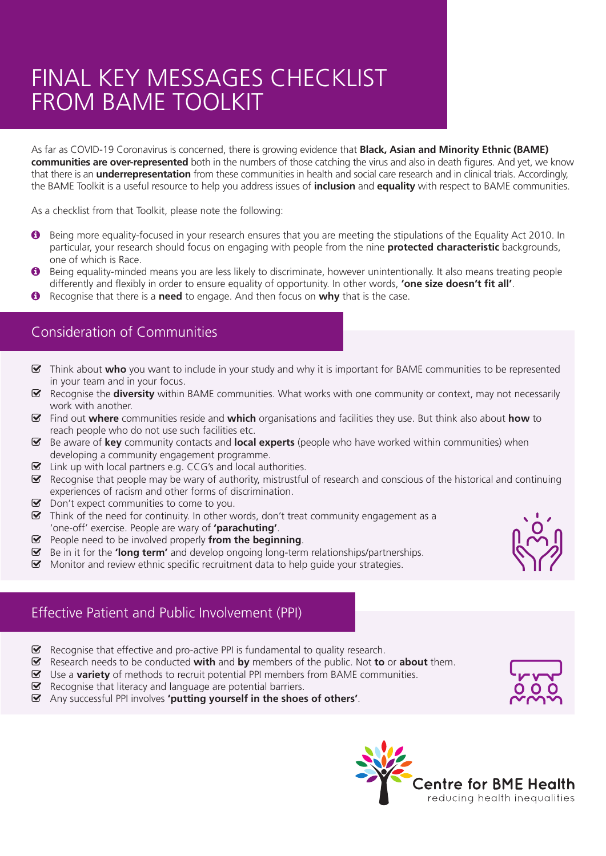# FINAL KEY MESSAGES CHECKLIST FROM BAME TOOLKIT

As far as COVID-19 Coronavirus is concerned, there is growing evidence that **Black, Asian and Minority Ethnic (BAME) communities are over-represented** both in the numbers of those catching the virus and also in death figures. And yet, we know that there is an **underrepresentation** from these communities in health and social care research and in clinical trials. Accordingly, the BAME Toolkit is a useful resource to help you address issues of **inclusion** and **equality** with respect to BAME communities.

As a checklist from that Toolkit, please note the following:

- $\bullet$  Being more equality-focused in your research ensures that you are meeting the stipulations of the Equality Act 2010. In particular, your research should focus on engaging with people from the nine **protected characteristic** backgrounds, one of which is Race.
- q Being equality-minded means you are less likely to discriminate, however unintentionally. It also means treating people differently and flexibly in order to ensure equality of opportunity. In other words, **'one size doesn't fit all'**.
- q Recognise that there is a **need** to engage. And then focus on **why** that is the case.

#### Consideration of Communities

- ^ Think about **who** you want to include in your study and why it is important for BAME communities to be represented in your team and in your focus.
- ^ Recognise the **diversity** within BAME communities. What works with one community or context, may not necessarily work with another.
- ^ Find out **where** communities reside and **which** organisations and facilities they use. But think also about **how** to reach people who do not use such facilities etc.
- ^ Be aware of **key** community contacts and **local experts** (people who have worked within communities) when developing a community engagement programme.
- $\triangleright$  Link up with local partners e.g. CCG's and local authorities.
- $\blacktriangleright$  Recognise that people may be wary of authority, mistrustful of research and conscious of the historical and continuing experiences of racism and other forms of discrimination.
- $\triangleright$  Don't expect communities to come to you.
- $\blacktriangleright$  Think of the need for continuity. In other words, don't treat community engagement as a 'one-off' exercise. People are wary of **'parachuting'**.
- ^ People need to be involved properly **from the beginning**.
- ^ Be in it for the **'long term'** and develop ongoing long-term relationships/partnerships.
- $\triangleright$  Monitor and review ethnic specific recruitment data to help guide your strategies.



## Effective Patient and Public Involvement (PPI)

- $\triangleright$  Recognise that effective and pro-active PPI is fundamental to quality research.
- ^ Research needs to be conducted **with** and **by** members of the public. Not **to** or **about** them.
- Use a **variety** of methods to recruit potential PPI members from BAME communities.
- $\triangleright$  Recognise that literacy and language are potential barriers.
- ^ Any successful PPI involves **'putting yourself in the shoes of others'**.